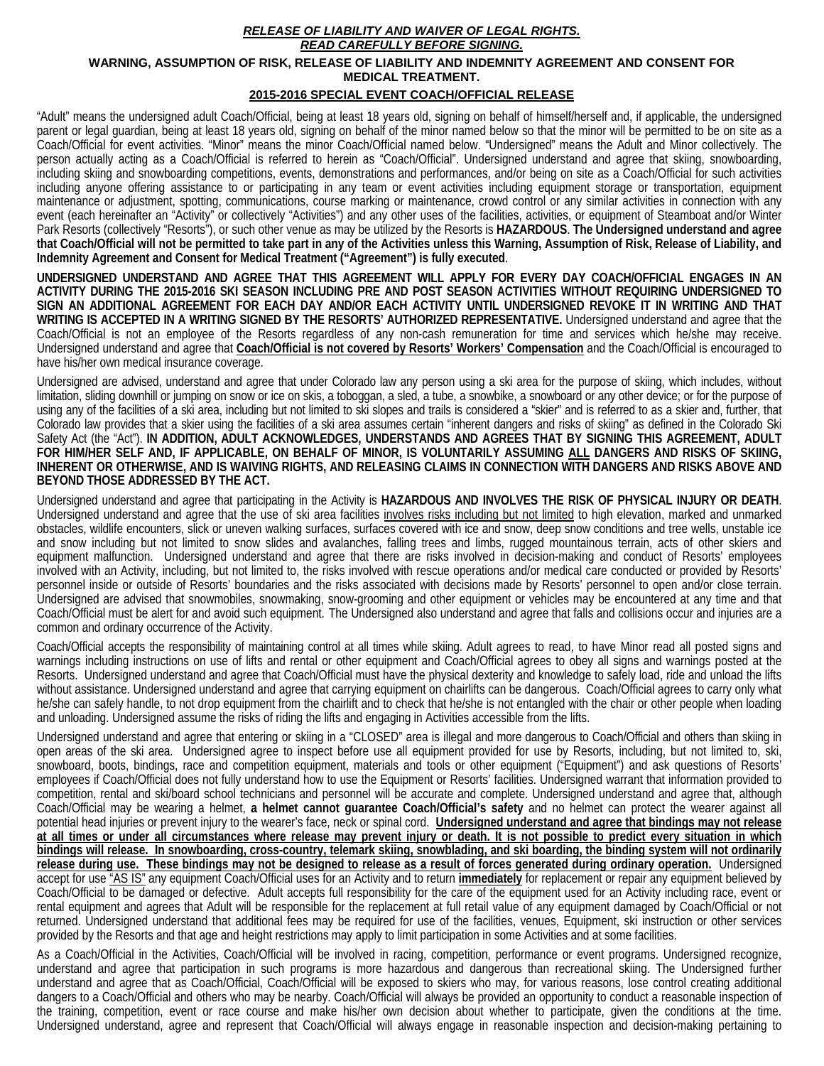## *RELEASE OF LIABILITY AND WAIVER OF LEGAL RIGHTS. READ CAREFULLY BEFORE SIGNING.*  **WARNING, ASSUMPTION OF RISK, RELEASE OF LIABILITY AND INDEMNITY AGREEMENT AND CONSENT FOR MEDICAL TREATMENT. 2015-2016 SPECIAL EVENT COACH/OFFICIAL RELEASE**

"Adult" means the undersigned adult Coach/Official, being at least 18 years old, signing on behalf of himself/herself and, if applicable, the undersigned parent or legal guardian, being at least 18 years old, signing on behalf of the minor named below so that the minor will be permitted to be on site as a Coach/Official for event activities. "Minor" means the minor Coach/Official named below. "Undersigned" means the Adult and Minor collectively. The person actually acting as a Coach/Official is referred to herein as "Coach/Official". Undersigned understand and agree that skiing, snowboarding, including skiing and snowboarding competitions, events, demonstrations and performances, and/or being on site as a Coach/Official for such activities including anyone offering assistance to or participating in any team or event activities including equipment storage or transportation, equipment maintenance or adjustment, spotting, communications, course marking or maintenance, crowd control or any similar activities in connection with any event (each hereinafter an "Activity" or collectively "Activities") and any other uses of the facilities, activities, or equipment of Steamboat and/or Winter Park Resorts (collectively "Resorts"), or such other venue as may be utilized by the Resorts is **HAZARDOUS**. **The Undersigned understand and agree that Coach/Official will not be permitted to take part in any of the Activities unless this Warning, Assumption of Risk, Release of Liability, and Indemnity Agreement and Consent for Medical Treatment ("Agreement") is fully executed**.

**UNDERSIGNED UNDERSTAND AND AGREE THAT THIS AGREEMENT WILL APPLY FOR EVERY DAY COACH/OFFICIAL ENGAGES IN AN ACTIVITY DURING THE 2015-2016 SKI SEASON INCLUDING PRE AND POST SEASON ACTIVITIES WITHOUT REQUIRING UNDERSIGNED TO SIGN AN ADDITIONAL AGREEMENT FOR EACH DAY AND/OR EACH ACTIVITY UNTIL UNDERSIGNED REVOKE IT IN WRITING AND THAT WRITING IS ACCEPTED IN A WRITING SIGNED BY THE RESORTS' AUTHORIZED REPRESENTATIVE.** Undersigned understand and agree that the Coach/Official is not an employee of the Resorts regardless of any non-cash remuneration for time and services which he/she may receive. Undersigned understand and agree that **Coach/Official is not covered by Resorts' Workers' Compensation** and the Coach/Official is encouraged to have his/her own medical insurance coverage.

Undersigned are advised, understand and agree that under Colorado law any person using a ski area for the purpose of skiing, which includes, without limitation, sliding downhill or jumping on snow or ice on skis, a toboggan, a sled, a tube, a snowbike, a snowboard or any other device; or for the purpose of using any of the facilities of a ski area, including but not limited to ski slopes and trails is considered a "skier" and is referred to as a skier and, further, that Colorado law provides that a skier using the facilities of a ski area assumes certain "inherent dangers and risks of skiing" as defined in the Colorado Ski Safety Act (the "Act"). **IN ADDITION, ADULT ACKNOWLEDGES, UNDERSTANDS AND AGREES THAT BY SIGNING THIS AGREEMENT, ADULT FOR HIM/HER SELF AND, IF APPLICABLE, ON BEHALF OF MINOR, IS VOLUNTARILY ASSUMING ALL DANGERS AND RISKS OF SKIING, INHERENT OR OTHERWISE, AND IS WAIVING RIGHTS, AND RELEASING CLAIMS IN CONNECTION WITH DANGERS AND RISKS ABOVE AND BEYOND THOSE ADDRESSED BY THE ACT.** 

Undersigned understand and agree that participating in the Activity is **HAZARDOUS AND INVOLVES THE RISK OF PHYSICAL INJURY OR DEATH**. Undersigned understand and agree that the use of ski area facilities involves risks including but not limited to high elevation, marked and unmarked obstacles, wildlife encounters, slick or uneven walking surfaces, surfaces covered with ice and snow, deep snow conditions and tree wells, unstable ice and snow including but not limited to snow slides and avalanches, falling trees and limbs, rugged mountainous terrain, acts of other skiers and equipment malfunction. Undersigned understand and agree that there are risks involved in decision-making and conduct of Resorts' employees involved with an Activity, including, but not limited to, the risks involved with rescue operations and/or medical care conducted or provided by Resorts' personnel inside or outside of Resorts' boundaries and the risks associated with decisions made by Resorts' personnel to open and/or close terrain. Undersigned are advised that snowmobiles, snowmaking, snow-grooming and other equipment or vehicles may be encountered at any time and that Coach/Official must be alert for and avoid such equipment. The Undersigned also understand and agree that falls and collisions occur and injuries are a common and ordinary occurrence of the Activity.

Coach/Official accepts the responsibility of maintaining control at all times while skiing. Adult agrees to read, to have Minor read all posted signs and warnings including instructions on use of lifts and rental or other equipment and Coach/Official agrees to obey all signs and warnings posted at the Resorts. Undersigned understand and agree that Coach/Official must have the physical dexterity and knowledge to safely load, ride and unload the lifts without assistance. Undersigned understand and agree that carrying equipment on chairlifts can be dangerous. Coach/Official agrees to carry only what he/she can safely handle, to not drop equipment from the chairlift and to check that he/she is not entangled with the chair or other people when loading and unloading. Undersigned assume the risks of riding the lifts and engaging in Activities accessible from the lifts.

Undersigned understand and agree that entering or skiing in a "CLOSED" area is illegal and more dangerous to Coach/Official and others than skiing in open areas of the ski area. Undersigned agree to inspect before use all equipment provided for use by Resorts, including, but not limited to, ski, snowboard, boots, bindings, race and competition equipment, materials and tools or other equipment ("Equipment") and ask questions of Resorts' employees if Coach/Official does not fully understand how to use the Equipment or Resorts' facilities. Undersigned warrant that information provided to competition, rental and ski/board school technicians and personnel will be accurate and complete. Undersigned understand and agree that, although Coach/Official may be wearing a helmet, **a helmet cannot guarantee Coach/Official's safety** and no helmet can protect the wearer against all potential head injuries or prevent injury to the wearer's face, neck or spinal cord. **Undersigned understand and agree that bindings may not release at all times or under all circumstances where release may prevent injury or death. It is not possible to predict every situation in which bindings will release. In snowboarding, cross-country, telemark skiing, snowblading, and ski boarding, the binding system will not ordinarily release during use. These bindings may not be designed to release as a result of forces generated during ordinary operation.** Undersigned accept for use "AS IS" any equipment Coach/Official uses for an Activity and to return **immediately** for replacement or repair any equipment believed by Coach/Official to be damaged or defective. Adult accepts full responsibility for the care of the equipment used for an Activity including race, event or rental equipment and agrees that Adult will be responsible for the replacement at full retail value of any equipment damaged by Coach/Official or not returned. Undersigned understand that additional fees may be required for use of the facilities, venues, Equipment, ski instruction or other services provided by the Resorts and that age and height restrictions may apply to limit participation in some Activities and at some facilities.

As a Coach/Official in the Activities, Coach/Official will be involved in racing, competition, performance or event programs. Undersigned recognize, understand and agree that participation in such programs is more hazardous and dangerous than recreational skiing. The Undersigned further understand and agree that as Coach/Official, Coach/Official will be exposed to skiers who may, for various reasons, lose control creating additional dangers to a Coach/Official and others who may be nearby. Coach/Official will always be provided an opportunity to conduct a reasonable inspection of the training, competition, event or race course and make his/her own decision about whether to participate, given the conditions at the time. Undersigned understand, agree and represent that Coach/Official will always engage in reasonable inspection and decision-making pertaining to